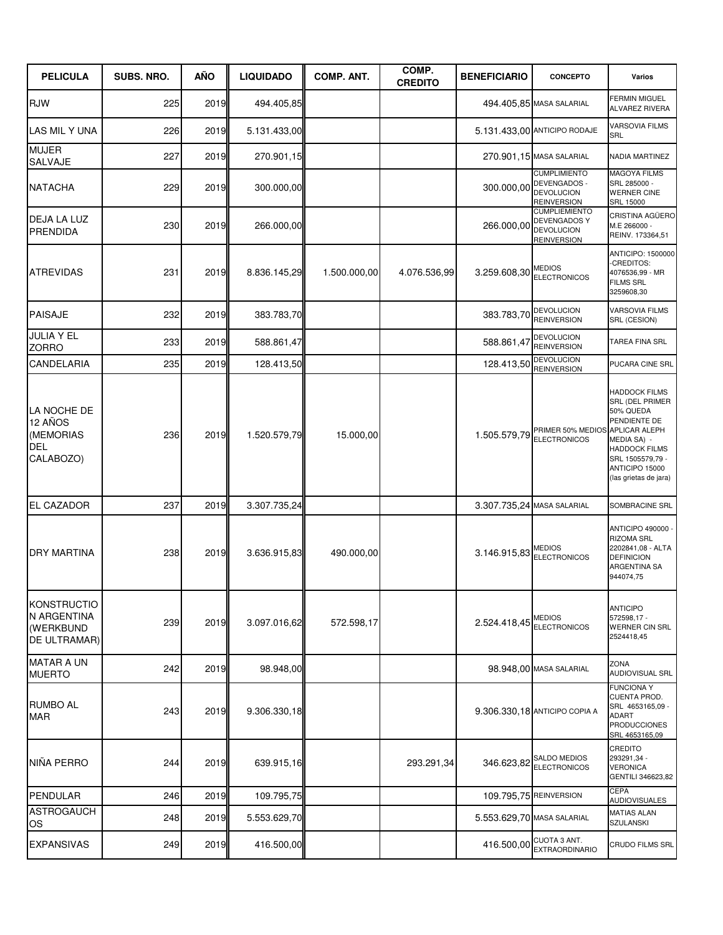| <b>PELICULA</b>                                                       | <b>SUBS. NRO.</b> | AÑO  | <b>LIQUIDADO</b> | <b>COMP. ANT.</b> | COMP.<br><b>CREDITO</b> | <b>BENEFICIARIO</b> | <b>CONCEPTO</b>                                                                        | Varios                                                                                                                                                                                      |
|-----------------------------------------------------------------------|-------------------|------|------------------|-------------------|-------------------------|---------------------|----------------------------------------------------------------------------------------|---------------------------------------------------------------------------------------------------------------------------------------------------------------------------------------------|
| <b>RJW</b>                                                            | 225               | 2019 | 494.405,85       |                   |                         |                     | 494.405,85 MASA SALARIAL                                                               | <b>FERMIN MIGUEL</b><br>ALVAREZ RIVERA                                                                                                                                                      |
| LAS MIL Y UNA                                                         | 226               | 2019 | 5.131.433,00     |                   |                         |                     | 5.131.433,00 ANTICIPO RODAJE                                                           | <b>VARSOVIA FILMS</b><br>SRL                                                                                                                                                                |
| <b>MUJER</b><br><b>SALVAJE</b>                                        | 227               | 2019 | 270.901,15       |                   |                         |                     | 270.901,15 MASA SALARIAL                                                               | NADIA MARTINEZ                                                                                                                                                                              |
| <b>NATACHA</b>                                                        | 229               | 2019 | 300.000,00       |                   |                         | 300.000,00          | <b>CUMPLIMIENTO</b><br>DEVENGADOS -<br><b>DEVOLUCION</b><br><b>REINVERSION</b>         | <b>MAGOYA FILMS</b><br>SRL 285000 -<br><b>WERNER CINE</b><br><b>SRL 15000</b>                                                                                                               |
| DEJA LA LUZ<br>PRENDIDA                                               | 230               | 2019 | 266.000,00       |                   |                         | 266.000,00          | <b>CUMPLIEMIENTO</b><br><b>DEVENGADOS Y</b><br><b>DEVOLUCION</b><br><b>REINVERSION</b> | CRISTINA AGÜERO<br>M.E 266000 -<br>REINV. 173364,51                                                                                                                                         |
| <b>ATREVIDAS</b>                                                      | 231               | 2019 | 8.836.145,29     | 1.500.000,00      | 4.076.536,99            | 3.259.608,30        | <b>MEDIOS</b><br><b>ELECTRONICOS</b>                                                   | ANTICIPO: 1500000<br>-CREDITOS:<br>4076536,99 - MR<br><b>FILMS SRL</b><br>3259608,30                                                                                                        |
| <b>PAISAJE</b>                                                        | 232               | 2019 | 383.783,70       |                   |                         | 383.783,70          | <b>DEVOLUCION</b><br><b>REINVERSION</b>                                                | <b>VARSOVIA FILMS</b><br>SRL (CESION)                                                                                                                                                       |
| <b>JULIA Y EL</b><br><b>ZORRO</b>                                     | 233               | 2019 | 588.861,47       |                   |                         | 588.861,47          | <b>DEVOLUCION</b><br><b>REINVERSION</b>                                                | TAREA FINA SRL                                                                                                                                                                              |
| <b>CANDELARIA</b>                                                     | 235               | 2019 | 128.413,50       |                   |                         | 128.413,50          | <b>DEVOLUCION</b><br><b>REINVERSION</b>                                                | PUCARA CINE SRL                                                                                                                                                                             |
| LA NOCHE DE<br>12 AÑOS<br>(MEMORIAS<br><b>DEL</b><br>CALABOZO)        | 236               | 2019 | 1.520.579,79     | 15.000,00         |                         | 1.505.579,79        | PRIMER 50% MEDIOS<br><b>ELECTRONICOS</b>                                               | <b>HADDOCK FILMS</b><br>SRL (DEL PRIMER<br>50% QUEDA<br>PENDIENTE DE<br>APLICAR ALEPH<br>MEDIA SA) -<br><b>HADDOCK FILMS</b><br>SRL 1505579,79 -<br>ANTICIPO 15000<br>(las grietas de jara) |
| <b>EL CAZADOR</b>                                                     | 237               | 2019 | 3.307.735,24     |                   |                         |                     | 3.307.735,24 MASA SALARIAL                                                             | SOMBRACINE SRL                                                                                                                                                                              |
| <b>DRY MARTINA</b>                                                    | 238               | 2019 | 3.636.915,83     | 490.000,00        |                         |                     | 3.146.915,83 REDIOS                                                                    | ANTICIPO 490000 -<br><b>RIZOMA SRL</b><br>2202841,08 - ALTA<br><b>DEFINICION</b><br>ARGENTINA SA<br>944074,75                                                                               |
| <b>KONSTRUCTIO</b><br>N ARGENTINA<br>(WERKBUND<br><b>DE ULTRAMAR)</b> | 239               | 2019 | 3.097.016,62     | 572.598,17        |                         | 2.524.418,45        | <b>MEDIOS</b><br><b>ELECTRONICOS</b>                                                   | <b>ANTICIPO</b><br>572598,17 -<br><b>WERNER CIN SRL</b><br>2524418,45                                                                                                                       |
| <b>MATAR A UN</b><br><b>MUERTO</b>                                    | 242               | 2019 | 98.948,00        |                   |                         |                     | 98.948.00 MASA SALARIAL                                                                | ZONA<br>AUDIOVISUAL SRL                                                                                                                                                                     |
| <b>RUMBO AL</b><br><b>MAR</b>                                         | 243               | 2019 | 9.306.330,18     |                   |                         |                     | 9.306.330,18 ANTICIPO COPIA A                                                          | <b>FUNCIONA Y</b><br>CUENTA PROD.<br>SRL 4653165,09 -<br>ADART<br><b>PRODUCCIONES</b><br>SRL 4653165,09                                                                                     |
| NIÑA PERRO                                                            | 244               | 2019 | 639.915,16       |                   | 293.291,34              | 346.623,82          | SALDO MEDIOS<br><b>ELECTRONICOS</b>                                                    | CREDITO<br>293291,34 -<br><b>VERONICA</b><br>GENTILI 346623,82                                                                                                                              |
| PENDULAR                                                              | 246               | 2019 | 109.795,75       |                   |                         |                     | 109.795,75 REINVERSION                                                                 | <b>CEPA</b><br><b>AUDIOVISUALES</b>                                                                                                                                                         |
| <b>ASTROGAUCH</b><br>OS                                               | 248               | 2019 | 5.553.629,70     |                   |                         |                     | 5.553.629,70 MASA SALARIAL                                                             | <b>MATIAS ALAN</b><br><b>SZULANSKI</b>                                                                                                                                                      |
| <b>EXPANSIVAS</b>                                                     | 249               | 2019 | 416.500,00       |                   |                         | 416.500,00          | CUOTA 3 ANT.<br><b>EXTRAORDINARIO</b>                                                  | CRUDO FILMS SRL                                                                                                                                                                             |